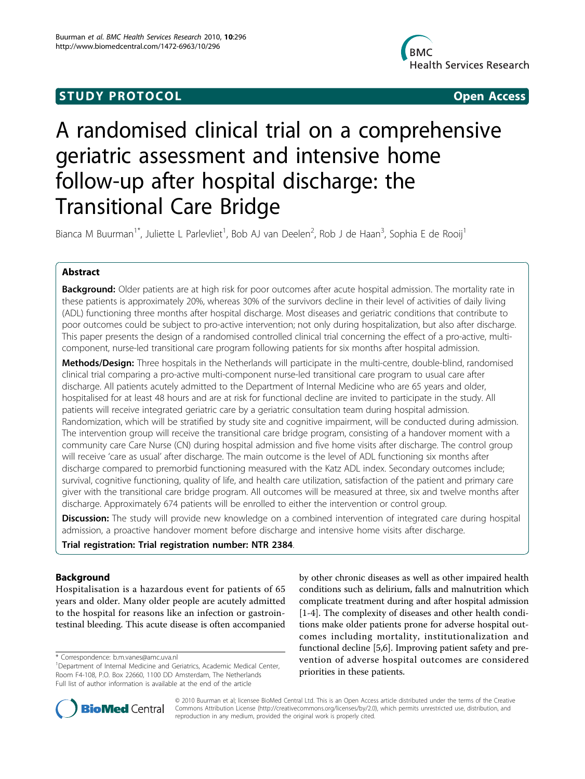# **STUDY PROTOCOL CONSUMING ACCESS**



# A randomised clinical trial on a comprehensive geriatric assessment and intensive home follow-up after hospital discharge: the Transitional Care Bridge

Bianca M Buurman<sup>1\*</sup>, Juliette L Parlevliet<sup>1</sup>, Bob AJ van Deelen<sup>2</sup>, Rob J de Haan<sup>3</sup>, Sophia E de Rooij<sup>1</sup>

# Abstract

Background: Older patients are at high risk for poor outcomes after acute hospital admission. The mortality rate in these patients is approximately 20%, whereas 30% of the survivors decline in their level of activities of daily living (ADL) functioning three months after hospital discharge. Most diseases and geriatric conditions that contribute to poor outcomes could be subject to pro-active intervention; not only during hospitalization, but also after discharge. This paper presents the design of a randomised controlled clinical trial concerning the effect of a pro-active, multicomponent, nurse-led transitional care program following patients for six months after hospital admission.

Methods/Design: Three hospitals in the Netherlands will participate in the multi-centre, double-blind, randomised clinical trial comparing a pro-active multi-component nurse-led transitional care program to usual care after discharge. All patients acutely admitted to the Department of Internal Medicine who are 65 years and older, hospitalised for at least 48 hours and are at risk for functional decline are invited to participate in the study. All patients will receive integrated geriatric care by a geriatric consultation team during hospital admission. Randomization, which will be stratified by study site and cognitive impairment, will be conducted during admission. The intervention group will receive the transitional care bridge program, consisting of a handover moment with a community care Care Nurse (CN) during hospital admission and five home visits after discharge. The control group will receive 'care as usual' after discharge. The main outcome is the level of ADL functioning six months after discharge compared to premorbid functioning measured with the Katz ADL index. Secondary outcomes include; survival, cognitive functioning, quality of life, and health care utilization, satisfaction of the patient and primary care giver with the transitional care bridge program. All outcomes will be measured at three, six and twelve months after discharge. Approximately 674 patients will be enrolled to either the intervention or control group.

Discussion: The study will provide new knowledge on a combined intervention of integrated care during hospital admission, a proactive handover moment before discharge and intensive home visits after discharge.

Trial registration: Trial registration number: NTR 2384.

# Background

Hospitalisation is a hazardous event for patients of 65 years and older. Many older people are acutely admitted to the hospital for reasons like an infection or gastrointestinal bleeding. This acute disease is often accompanied

\* Correspondence: [b.m.vanes@amc.uva.nl](mailto:b.m.vanes@amc.uva.nl)

by other chronic diseases as well as other impaired health conditions such as delirium, falls and malnutrition which complicate treatment during and after hospital admission [[1-4](#page-7-0)]. The complexity of diseases and other health conditions make older patients prone for adverse hospital outcomes including mortality, institutionalization and functional decline [[5,6\]](#page-7-0). Improving patient safety and prevention of adverse hospital outcomes are considered priorities in these patients.



© 2010 Buurman et al; licensee BioMed Central Ltd. This is an Open Access article distributed under the terms of the Creative Commons Attribution License [\(http://creativecommons.org/licenses/by/2.0](http://creativecommons.org/licenses/by/2.0)), which permits unrestricted use, distribution, and reproduction in any medium, provided the original work is properly cited.

<sup>&</sup>lt;sup>1</sup>Department of Internal Medicine and Geriatrics, Academic Medical Center, Room F4-108, P.O. Box 22660, 1100 DD Amsterdam, The Netherlands Full list of author information is available at the end of the article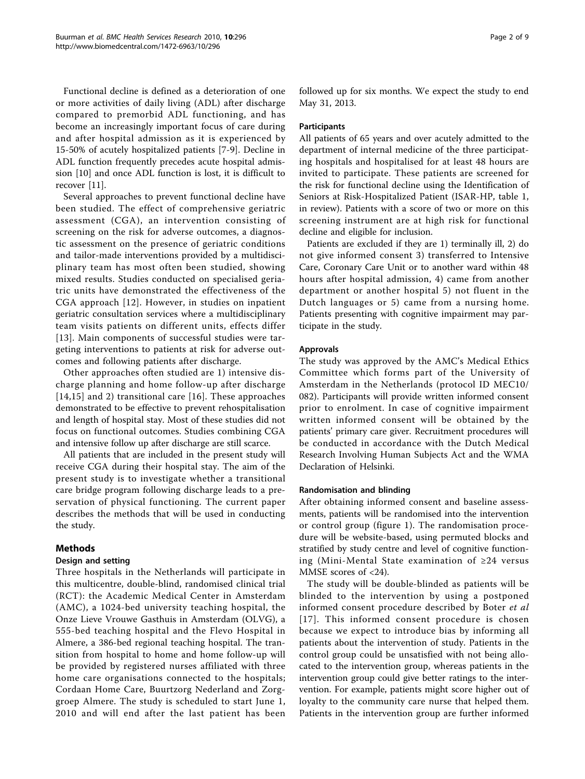Functional decline is defined as a deterioration of one or more activities of daily living (ADL) after discharge compared to premorbid ADL functioning, and has become an increasingly important focus of care during and after hospital admission as it is experienced by 15-50% of acutely hospitalized patients [[7-9](#page-7-0)]. Decline in ADL function frequently precedes acute hospital admission [\[10](#page-7-0)] and once ADL function is lost, it is difficult to recover [\[11\]](#page-7-0).

Several approaches to prevent functional decline have been studied. The effect of comprehensive geriatric assessment (CGA), an intervention consisting of screening on the risk for adverse outcomes, a diagnostic assessment on the presence of geriatric conditions and tailor-made interventions provided by a multidisciplinary team has most often been studied, showing mixed results. Studies conducted on specialised geriatric units have demonstrated the effectiveness of the CGA approach [\[12\]](#page-7-0). However, in studies on inpatient geriatric consultation services where a multidisciplinary team visits patients on different units, effects differ [[13](#page-7-0)]. Main components of successful studies were targeting interventions to patients at risk for adverse outcomes and following patients after discharge.

Other approaches often studied are 1) intensive discharge planning and home follow-up after discharge [[14](#page-7-0),[15\]](#page-7-0) and 2) transitional care [[16\]](#page-7-0). These approaches demonstrated to be effective to prevent rehospitalisation and length of hospital stay. Most of these studies did not focus on functional outcomes. Studies combining CGA and intensive follow up after discharge are still scarce.

All patients that are included in the present study will receive CGA during their hospital stay. The aim of the present study is to investigate whether a transitional care bridge program following discharge leads to a preservation of physical functioning. The current paper describes the methods that will be used in conducting the study.

# Methods

# Design and setting

Three hospitals in the Netherlands will participate in this multicentre, double-blind, randomised clinical trial (RCT): the Academic Medical Center in Amsterdam (AMC), a 1024-bed university teaching hospital, the Onze Lieve Vrouwe Gasthuis in Amsterdam (OLVG), a 555-bed teaching hospital and the Flevo Hospital in Almere, a 386-bed regional teaching hospital. The transition from hospital to home and home follow-up will be provided by registered nurses affiliated with three home care organisations connected to the hospitals; Cordaan Home Care, Buurtzorg Nederland and Zorggroep Almere. The study is scheduled to start June 1, 2010 and will end after the last patient has been followed up for six months. We expect the study to end May 31, 2013.

# Participants

All patients of 65 years and over acutely admitted to the department of internal medicine of the three participating hospitals and hospitalised for at least 48 hours are invited to participate. These patients are screened for the risk for functional decline using the Identification of Seniors at Risk-Hospitalized Patient (ISAR-HP, table [1](#page-2-0), in review). Patients with a score of two or more on this screening instrument are at high risk for functional decline and eligible for inclusion.

Patients are excluded if they are 1) terminally ill, 2) do not give informed consent 3) transferred to Intensive Care, Coronary Care Unit or to another ward within 48 hours after hospital admission, 4) came from another department or another hospital 5) not fluent in the Dutch languages or 5) came from a nursing home. Patients presenting with cognitive impairment may participate in the study.

# Approvals

The study was approved by the AMC's Medical Ethics Committee which forms part of the University of Amsterdam in the Netherlands (protocol ID MEC10/ 082). Participants will provide written informed consent prior to enrolment. In case of cognitive impairment written informed consent will be obtained by the patients' primary care giver. Recruitment procedures will be conducted in accordance with the Dutch Medical Research Involving Human Subjects Act and the WMA Declaration of Helsinki.

# Randomisation and blinding

After obtaining informed consent and baseline assessments, patients will be randomised into the intervention or control group (figure [1\)](#page-2-0). The randomisation procedure will be website-based, using permuted blocks and stratified by study centre and level of cognitive functioning (Mini-Mental State examination of ≥24 versus MMSE scores of <24).

The study will be double-blinded as patients will be blinded to the intervention by using a postponed informed consent procedure described by Boter et al [[17](#page-7-0)]. This informed consent procedure is chosen because we expect to introduce bias by informing all patients about the intervention of study. Patients in the control group could be unsatisfied with not being allocated to the intervention group, whereas patients in the intervention group could give better ratings to the intervention. For example, patients might score higher out of loyalty to the community care nurse that helped them. Patients in the intervention group are further informed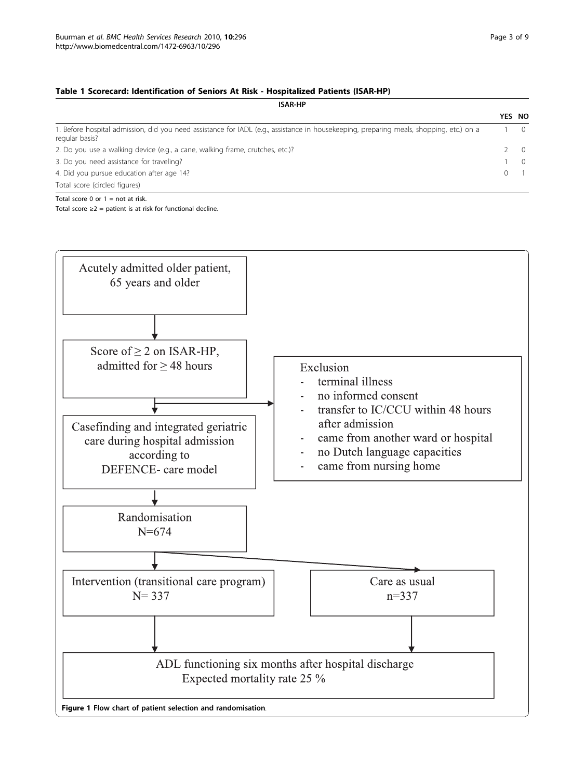# <span id="page-2-0"></span>Table 1 Scorecard: Identification of Seniors At Risk - Hospitalized Patients (ISAR-HP)

| <b>ISAR-HP</b>                                                                                                                                            |        |            |  |  |
|-----------------------------------------------------------------------------------------------------------------------------------------------------------|--------|------------|--|--|
|                                                                                                                                                           | YES NO |            |  |  |
| 1. Before hospital admission, did you need assistance for IADL (e.g., assistance in housekeeping, preparing meals, shopping, etc.) on a<br>regular basis? |        | $\bigcirc$ |  |  |
| 2. Do you use a walking device (e.g., a cane, walking frame, crutches, etc.)?                                                                             |        | - 0        |  |  |
| 3. Do you need assistance for traveling?                                                                                                                  |        | $\cap$     |  |  |
| 4. Did you pursue education after age 14?                                                                                                                 |        |            |  |  |
| Total score (circled figures)                                                                                                                             |        |            |  |  |

Total score 0 or  $1 = not$  at risk.

Total score  $\geq$  2 = patient is at risk for functional decline.

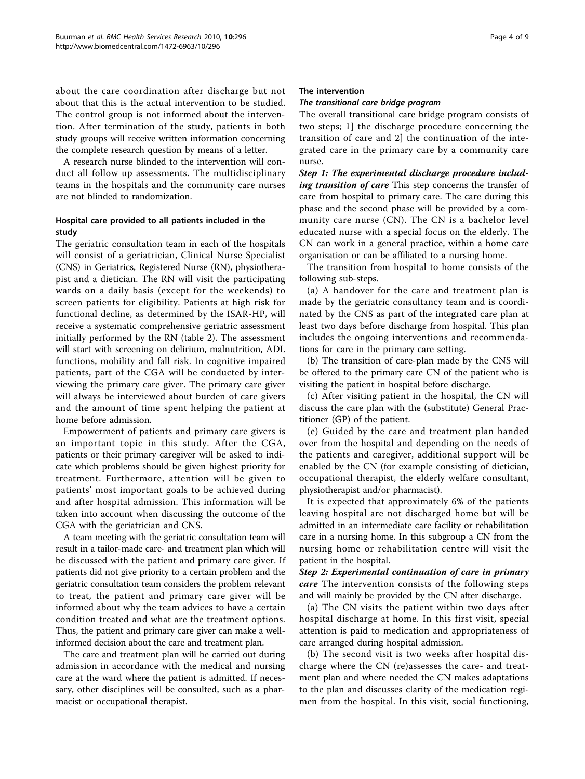about the care coordination after discharge but not about that this is the actual intervention to be studied. The control group is not informed about the intervention. After termination of the study, patients in both study groups will receive written information concerning the complete research question by means of a letter.

A research nurse blinded to the intervention will conduct all follow up assessments. The multidisciplinary teams in the hospitals and the community care nurses are not blinded to randomization.

# Hospital care provided to all patients included in the study

The geriatric consultation team in each of the hospitals will consist of a geriatrician, Clinical Nurse Specialist (CNS) in Geriatrics, Registered Nurse (RN), physiotherapist and a dietician. The RN will visit the participating wards on a daily basis (except for the weekends) to screen patients for eligibility. Patients at high risk for functional decline, as determined by the ISAR-HP, will receive a systematic comprehensive geriatric assessment initially performed by the RN (table [2](#page-4-0)). The assessment will start with screening on delirium, malnutrition, ADL functions, mobility and fall risk. In cognitive impaired patients, part of the CGA will be conducted by interviewing the primary care giver. The primary care giver will always be interviewed about burden of care givers and the amount of time spent helping the patient at home before admission.

Empowerment of patients and primary care givers is an important topic in this study. After the CGA, patients or their primary caregiver will be asked to indicate which problems should be given highest priority for treatment. Furthermore, attention will be given to patients' most important goals to be achieved during and after hospital admission. This information will be taken into account when discussing the outcome of the CGA with the geriatrician and CNS.

A team meeting with the geriatric consultation team will result in a tailor-made care- and treatment plan which will be discussed with the patient and primary care giver. If patients did not give priority to a certain problem and the geriatric consultation team considers the problem relevant to treat, the patient and primary care giver will be informed about why the team advices to have a certain condition treated and what are the treatment options. Thus, the patient and primary care giver can make a wellinformed decision about the care and treatment plan.

The care and treatment plan will be carried out during admission in accordance with the medical and nursing care at the ward where the patient is admitted. If necessary, other disciplines will be consulted, such as a pharmacist or occupational therapist.

# The intervention

# The transitional care bridge program

The overall transitional care bridge program consists of two steps; 1] the discharge procedure concerning the transition of care and 2] the continuation of the integrated care in the primary care by a community care nurse.

Step 1: The experimental discharge procedure including transition of care This step concerns the transfer of care from hospital to primary care. The care during this phase and the second phase will be provided by a community care nurse (CN). The CN is a bachelor level educated nurse with a special focus on the elderly. The CN can work in a general practice, within a home care organisation or can be affiliated to a nursing home.

The transition from hospital to home consists of the following sub-steps.

(a) A handover for the care and treatment plan is made by the geriatric consultancy team and is coordinated by the CNS as part of the integrated care plan at least two days before discharge from hospital. This plan includes the ongoing interventions and recommendations for care in the primary care setting.

(b) The transition of care-plan made by the CNS will be offered to the primary care CN of the patient who is visiting the patient in hospital before discharge.

(c) After visiting patient in the hospital, the CN will discuss the care plan with the (substitute) General Practitioner (GP) of the patient.

(e) Guided by the care and treatment plan handed over from the hospital and depending on the needs of the patients and caregiver, additional support will be enabled by the CN (for example consisting of dietician, occupational therapist, the elderly welfare consultant, physiotherapist and/or pharmacist).

It is expected that approximately 6% of the patients leaving hospital are not discharged home but will be admitted in an intermediate care facility or rehabilitation care in a nursing home. In this subgroup a CN from the nursing home or rehabilitation centre will visit the patient in the hospital.

Step 2: Experimental continuation of care in primary care The intervention consists of the following steps and will mainly be provided by the CN after discharge.

(a) The CN visits the patient within two days after hospital discharge at home. In this first visit, special attention is paid to medication and appropriateness of care arranged during hospital admission.

(b) The second visit is two weeks after hospital discharge where the CN (re)assesses the care- and treatment plan and where needed the CN makes adaptations to the plan and discusses clarity of the medication regimen from the hospital. In this visit, social functioning,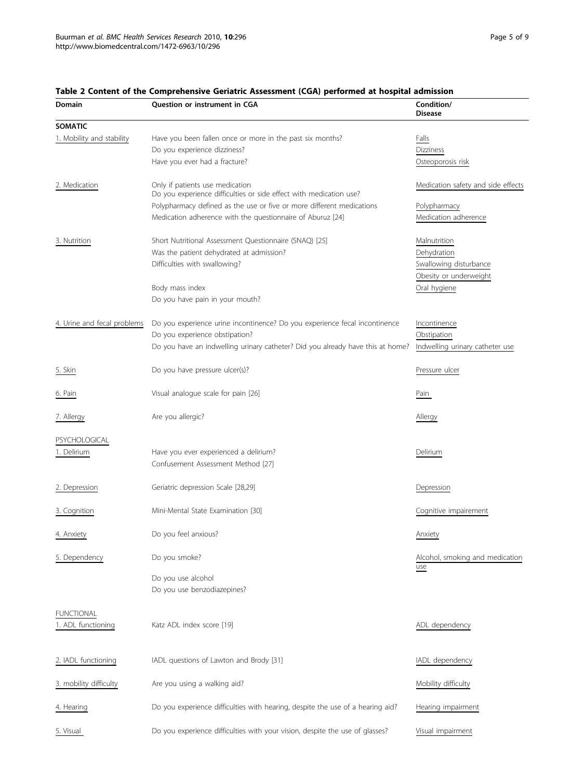| Domain                                  | Question or instrument in CGA                                                                                                                                                                                                                | Condition/<br><b>Disease</b>                                                                    |
|-----------------------------------------|----------------------------------------------------------------------------------------------------------------------------------------------------------------------------------------------------------------------------------------------|-------------------------------------------------------------------------------------------------|
| <b>SOMATIC</b>                          |                                                                                                                                                                                                                                              |                                                                                                 |
| 1. Mobility and stability               | Have you been fallen once or more in the past six months?<br>Do you experience dizziness?                                                                                                                                                    | Falls<br>Dizziness                                                                              |
|                                         | Have you ever had a fracture?                                                                                                                                                                                                                | Osteoporosis risk                                                                               |
| 2. Medication                           | Only if patients use medication<br>Do you experience difficulties or side effect with medication use?<br>Polypharmacy defined as the use or five or more different medications<br>Medication adherence with the questionnaire of Aburuz [24] | Medication safety and side effects<br>Polypharmacy<br>Medication adherence                      |
| 3. Nutrition                            | Short Nutritional Assessment Questionnaire (SNAQ) [25]<br>Was the patient dehydrated at admission?<br>Difficulties with swallowing?<br>Body mass index<br>Do you have pain in your mouth?                                                    | Malnutrition<br>Dehydration<br>Swallowing disturbance<br>Obesity or underweight<br>Oral hygiene |
| 4. Urine and fecal problems             | Do you experience urine incontinence? Do you experience fecal incontinence<br>Do you experience obstipation?<br>Do you have an indwelling urinary catheter? Did you already have this at home?                                               | Incontinence<br>Obstipation<br>Indwelling urinary catheter use                                  |
| 5. Skin                                 | Do you have pressure ulcer(s)?                                                                                                                                                                                                               | Pressure ulcer                                                                                  |
| 6. Pain                                 | Visual analogue scale for pain [26]                                                                                                                                                                                                          | Pain                                                                                            |
| 7. Allergy                              | Are you allergic?                                                                                                                                                                                                                            | Allergy                                                                                         |
| PSYCHOLOGICAL                           |                                                                                                                                                                                                                                              |                                                                                                 |
| 1. Delirium                             | Have you ever experienced a delirium?<br>Confusement Assessment Method [27]                                                                                                                                                                  | Delirium                                                                                        |
| 2. Depression                           | Geriatric depression Scale [28,29]                                                                                                                                                                                                           | Depression                                                                                      |
| 3. Cognition                            | Mini-Mental State Examination [30]                                                                                                                                                                                                           | Cognitive impairement                                                                           |
| 4. Anxiety                              | Do you feel anxious?                                                                                                                                                                                                                         | Anxiety                                                                                         |
| 5. Dependency                           | Do you smoke?                                                                                                                                                                                                                                | Alcohol, smoking and medication<br>use                                                          |
|                                         | Do you use alcohol<br>Do you use benzodiazepines?                                                                                                                                                                                            |                                                                                                 |
| <b>FUNCTIONAL</b><br>1. ADL functioning | Katz ADL index score [19]                                                                                                                                                                                                                    | ADL dependency                                                                                  |
| 2. IADL functioning                     | IADL questions of Lawton and Brody [31]                                                                                                                                                                                                      | IADL dependency                                                                                 |
| 3. mobility difficulty                  | Are you using a walking aid?                                                                                                                                                                                                                 | Mobility difficulty                                                                             |
| 4. Hearing                              | Do you experience difficulties with hearing, despite the use of a hearing aid?                                                                                                                                                               | Hearing impairment                                                                              |
| 5. Visual                               | Do you experience difficulties with your vision, despite the use of glasses?                                                                                                                                                                 | Visual impairment                                                                               |

<span id="page-4-0"></span>

| Table 2 Content of the Comprehensive Geriatric Assessment (CGA) performed at hospital admission |  |  |  |  |
|-------------------------------------------------------------------------------------------------|--|--|--|--|
|-------------------------------------------------------------------------------------------------|--|--|--|--|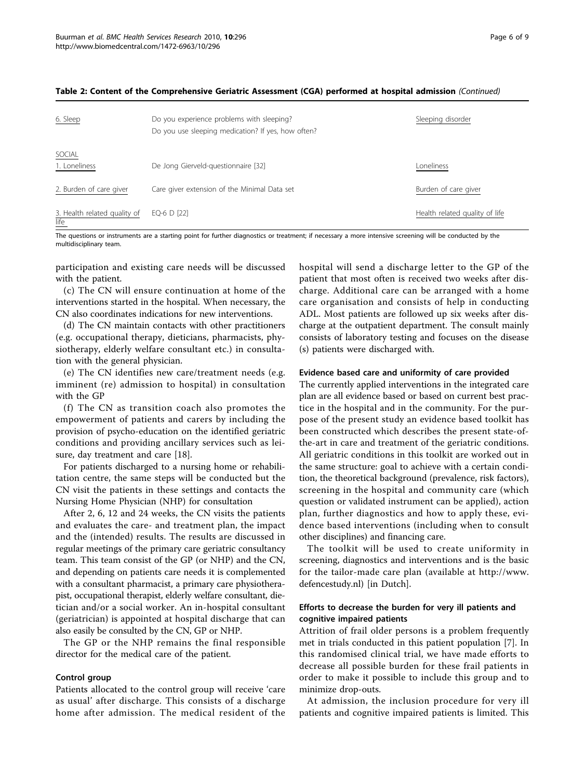| 6. Sleep                             | Do you experience problems with sleeping?<br>Do you use sleeping medication? If yes, how often? | Sleeping disorder              |
|--------------------------------------|-------------------------------------------------------------------------------------------------|--------------------------------|
| SOCIAL<br>1. Loneliness              | De Jong Gierveld-guestionnaire [32]                                                             | Loneliness                     |
| 2. Burden of care giver              | Care giver extension of the Minimal Data set                                                    | Burden of care giver           |
| 3. Health related quality of<br>life | EQ-6 D [22]                                                                                     | Health related quality of life |

#### Table 2: Content of the Comprehensive Geriatric Assessment (CGA) performed at hospital admission (Continued)

The questions or instruments are a starting point for further diagnostics or treatment; if necessary a more intensive screening will be conducted by the multidisciplinary team.

participation and existing care needs will be discussed with the patient.

(c) The CN will ensure continuation at home of the interventions started in the hospital. When necessary, the CN also coordinates indications for new interventions.

(d) The CN maintain contacts with other practitioners (e.g. occupational therapy, dieticians, pharmacists, physiotherapy, elderly welfare consultant etc.) in consultation with the general physician.

(e) The CN identifies new care/treatment needs (e.g. imminent (re) admission to hospital) in consultation with the GP

(f) The CN as transition coach also promotes the empowerment of patients and carers by including the provision of psycho-education on the identified geriatric conditions and providing ancillary services such as leisure, day treatment and care [[18](#page-7-0)].

For patients discharged to a nursing home or rehabilitation centre, the same steps will be conducted but the CN visit the patients in these settings and contacts the Nursing Home Physician (NHP) for consultation

After 2, 6, 12 and 24 weeks, the CN visits the patients and evaluates the care- and treatment plan, the impact and the (intended) results. The results are discussed in regular meetings of the primary care geriatric consultancy team. This team consist of the GP (or NHP) and the CN, and depending on patients care needs it is complemented with a consultant pharmacist, a primary care physiotherapist, occupational therapist, elderly welfare consultant, dietician and/or a social worker. An in-hospital consultant (geriatrician) is appointed at hospital discharge that can also easily be consulted by the CN, GP or NHP.

The GP or the NHP remains the final responsible director for the medical care of the patient.

# Control group

Patients allocated to the control group will receive 'care as usual' after discharge. This consists of a discharge home after admission. The medical resident of the hospital will send a discharge letter to the GP of the patient that most often is received two weeks after discharge. Additional care can be arranged with a home care organisation and consists of help in conducting ADL. Most patients are followed up six weeks after discharge at the outpatient department. The consult mainly consists of laboratory testing and focuses on the disease (s) patients were discharged with.

#### Evidence based care and uniformity of care provided

The currently applied interventions in the integrated care plan are all evidence based or based on current best practice in the hospital and in the community. For the purpose of the present study an evidence based toolkit has been constructed which describes the present state-ofthe-art in care and treatment of the geriatric conditions. All geriatric conditions in this toolkit are worked out in the same structure: goal to achieve with a certain condition, the theoretical background (prevalence, risk factors), screening in the hospital and community care (which question or validated instrument can be applied), action plan, further diagnostics and how to apply these, evidence based interventions (including when to consult other disciplines) and financing care.

The toolkit will be used to create uniformity in screening, diagnostics and interventions and is the basic for the tailor-made care plan (available at [http://www.](http://www.defencestudy.nl) [defencestudy.nl](http://www.defencestudy.nl)) [in Dutch].

# Efforts to decrease the burden for very ill patients and cognitive impaired patients

Attrition of frail older persons is a problem frequently met in trials conducted in this patient population [\[7](#page-7-0)]. In this randomised clinical trial, we have made efforts to decrease all possible burden for these frail patients in order to make it possible to include this group and to minimize drop-outs.

At admission, the inclusion procedure for very ill patients and cognitive impaired patients is limited. This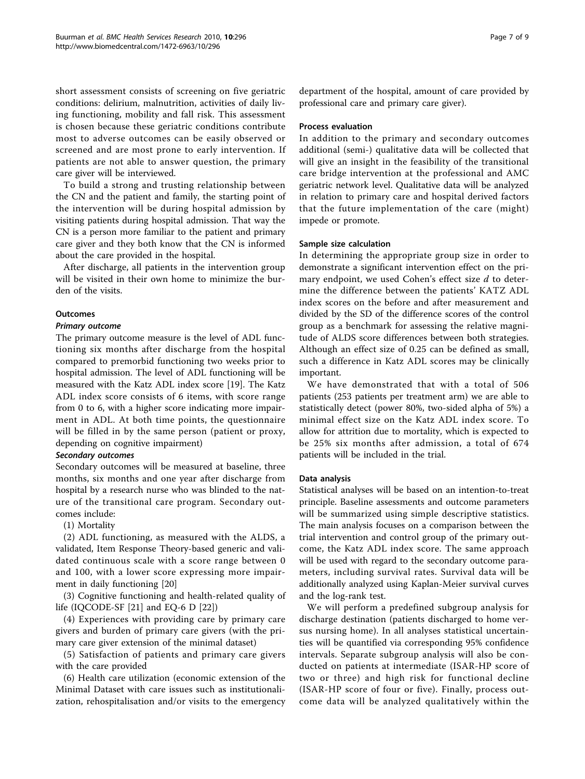short assessment consists of screening on five geriatric conditions: delirium, malnutrition, activities of daily living functioning, mobility and fall risk. This assessment is chosen because these geriatric conditions contribute most to adverse outcomes can be easily observed or screened and are most prone to early intervention. If patients are not able to answer question, the primary care giver will be interviewed.

To build a strong and trusting relationship between the CN and the patient and family, the starting point of the intervention will be during hospital admission by visiting patients during hospital admission. That way the CN is a person more familiar to the patient and primary care giver and they both know that the CN is informed about the care provided in the hospital.

After discharge, all patients in the intervention group will be visited in their own home to minimize the burden of the visits.

# **Outcomes**

## Primary outcome

The primary outcome measure is the level of ADL functioning six months after discharge from the hospital compared to premorbid functioning two weeks prior to hospital admission. The level of ADL functioning will be measured with the Katz ADL index score [\[19](#page-7-0)]. The Katz ADL index score consists of 6 items, with score range from 0 to 6, with a higher score indicating more impairment in ADL. At both time points, the questionnaire will be filled in by the same person (patient or proxy, depending on cognitive impairment)

# Secondary outcomes

Secondary outcomes will be measured at baseline, three months, six months and one year after discharge from hospital by a research nurse who was blinded to the nature of the transitional care program. Secondary outcomes include:

(1) Mortality

(2) ADL functioning, as measured with the ALDS, a validated, Item Response Theory-based generic and validated continuous scale with a score range between 0 and 100, with a lower score expressing more impairment in daily functioning [[20](#page-7-0)]

(3) Cognitive functioning and health-related quality of life (IQCODE-SF [\[21\]](#page-7-0) and EQ-6 D [[22\]](#page-7-0))

(4) Experiences with providing care by primary care givers and burden of primary care givers (with the primary care giver extension of the minimal dataset)

(5) Satisfaction of patients and primary care givers with the care provided

(6) Health care utilization (economic extension of the Minimal Dataset with care issues such as institutionalization, rehospitalisation and/or visits to the emergency department of the hospital, amount of care provided by professional care and primary care giver).

# Process evaluation

In addition to the primary and secondary outcomes additional (semi-) qualitative data will be collected that will give an insight in the feasibility of the transitional care bridge intervention at the professional and AMC geriatric network level. Qualitative data will be analyzed in relation to primary care and hospital derived factors that the future implementation of the care (might) impede or promote.

# Sample size calculation

In determining the appropriate group size in order to demonstrate a significant intervention effect on the primary endpoint, we used Cohen's effect size  $d$  to determine the difference between the patients' KATZ ADL index scores on the before and after measurement and divided by the SD of the difference scores of the control group as a benchmark for assessing the relative magnitude of ALDS score differences between both strategies. Although an effect size of 0.25 can be defined as small, such a difference in Katz ADL scores may be clinically important.

We have demonstrated that with a total of 506 patients (253 patients per treatment arm) we are able to statistically detect (power 80%, two-sided alpha of 5%) a minimal effect size on the Katz ADL index score. To allow for attrition due to mortality, which is expected to be 25% six months after admission, a total of 674 patients will be included in the trial.

## Data analysis

Statistical analyses will be based on an intention-to-treat principle. Baseline assessments and outcome parameters will be summarized using simple descriptive statistics. The main analysis focuses on a comparison between the trial intervention and control group of the primary outcome, the Katz ADL index score. The same approach will be used with regard to the secondary outcome parameters, including survival rates. Survival data will be additionally analyzed using Kaplan-Meier survival curves and the log-rank test.

We will perform a predefined subgroup analysis for discharge destination (patients discharged to home versus nursing home). In all analyses statistical uncertainties will be quantified via corresponding 95% confidence intervals. Separate subgroup analysis will also be conducted on patients at intermediate (ISAR-HP score of two or three) and high risk for functional decline (ISAR-HP score of four or five). Finally, process outcome data will be analyzed qualitatively within the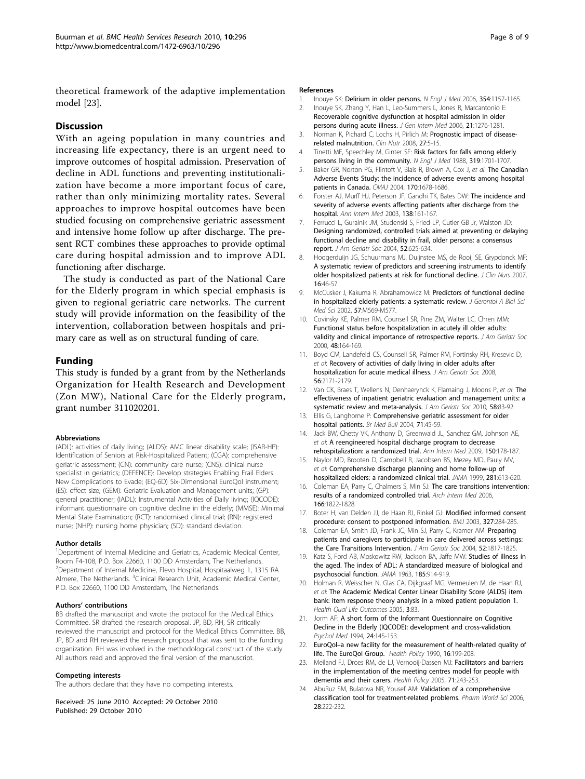<span id="page-7-0"></span>theoretical framework of the adaptive implementation model [23].

# **Discussion**

With an ageing population in many countries and increasing life expectancy, there is an urgent need to improve outcomes of hospital admission. Preservation of decline in ADL functions and preventing institutionalization have become a more important focus of care, rather than only minimizing mortality rates. Several approaches to improve hospital outcomes have been studied focusing on comprehensive geriatric assessment and intensive home follow up after discharge. The present RCT combines these approaches to provide optimal care during hospital admission and to improve ADL functioning after discharge.

The study is conducted as part of the National Care for the Elderly program in which special emphasis is given to regional geriatric care networks. The current study will provide information on the feasibility of the intervention, collaboration between hospitals and primary care as well as on structural funding of care.

# Funding

This study is funded by a grant from by the Netherlands Organization for Health Research and Development (Zon MW), National Care for the Elderly program, grant number 311020201.

#### Abbreviations

(ADL): activities of daily living; (ALDS): AMC linear disability scale; (ISAR-HP): Identification of Seniors at Risk-Hospitalized Patient; (CGA): comprehensive geriatric assessment; (CN): community care nurse; (CNS): clinical nurse specialist in geriatrics; (DEFENCE): Develop strategies Enabling Frail Elders New Complications to Evade; (EQ-6D) Six-Dimensional EuroQol instrument; (ES): effect size; (GEM): Geriatric Evaluation and Management units; (GP): general practitioner; (IADL): Instrumental Activities of Daily living; (IQCODE): informant questionnaire on cognitive decline in the elderly; (MMSE): Minimal Mental State Examination; (RCT): randomised clinical trial; (RN): registered nurse; (NHP): nursing home physician; (SD): standard deviation.

#### Author details

<sup>1</sup>Department of Internal Medicine and Geriatrics, Academic Medical Center, Room F4-108, P.O. Box 22660, 1100 DD Amsterdam, The Netherlands. <sup>2</sup>Department of Internal Medicine, Flevo Hospital, Hospitaalweg 1, 1315 RA Almere, The Netherlands. <sup>3</sup>Clinical Research Unit, Academic Medical Center, P.O. Box 22660, 1100 DD Amsterdam, The Netherlands.

#### Authors' contributions

BB drafted the manuscript and wrote the protocol for the Medical Ethics Committee. SR drafted the research proposal. JP, BD, RH, SR critically reviewed the manuscript and protocol for the Medical Ethics Committee. BB, JP, BD and RH reviewed the research proposal that was sent to the funding organization. RH was involved in the methodological construct of the study. All authors read and approved the final version of the manuscript.

#### Competing interests

The authors declare that they have no competing interests.

Received: 25 June 2010 Accepted: 29 October 2010 Published: 29 October 2010

#### References

- 1. Inouye SK: [Delirium in older persons.](http://www.ncbi.nlm.nih.gov/pubmed/16540616?dopt=Abstract) N Engl J Med 2006, 354:1157-1165.
- 2. Inouye SK, Zhang Y, Han L, Leo-Summers L, Jones R, Marcantonio E: [Recoverable cognitive dysfunction at hospital admission in older](http://www.ncbi.nlm.nih.gov/pubmed/16965558?dopt=Abstract) [persons during acute illness.](http://www.ncbi.nlm.nih.gov/pubmed/16965558?dopt=Abstract) J Gen Intern Med 2006, 21:1276-1281.
- 3. Norman K, Pichard C, Lochs H, Pirlich M: [Prognostic impact of disease](http://www.ncbi.nlm.nih.gov/pubmed/18061312?dopt=Abstract)[related malnutrition.](http://www.ncbi.nlm.nih.gov/pubmed/18061312?dopt=Abstract) Clin Nutr 2008, 27:5-15.
- 4. Tinetti ME, Speechley M, Ginter SF: [Risk factors for falls among elderly](http://www.ncbi.nlm.nih.gov/pubmed/3205267?dopt=Abstract) [persons living in the community.](http://www.ncbi.nlm.nih.gov/pubmed/3205267?dopt=Abstract) N Engl J Med 1988, 319:1701-1707.
- 5. Baker GR, Norton PG, Flintoft V, Blais R, Brown A, Cox J, et al: [The Canadian](http://www.ncbi.nlm.nih.gov/pubmed/15159366?dopt=Abstract) [Adverse Events Study: the incidence of adverse events among hospital](http://www.ncbi.nlm.nih.gov/pubmed/15159366?dopt=Abstract) [patients in Canada.](http://www.ncbi.nlm.nih.gov/pubmed/15159366?dopt=Abstract) CMAJ 2004, 170:1678-1686.
- 6. Forster AJ, Murff HJ, Peterson JF, Gandhi TK, Bates DW: [The incidence and](http://www.ncbi.nlm.nih.gov/pubmed/12558354?dopt=Abstract) [severity of adverse events affecting patients after discharge from the](http://www.ncbi.nlm.nih.gov/pubmed/12558354?dopt=Abstract) [hospital.](http://www.ncbi.nlm.nih.gov/pubmed/12558354?dopt=Abstract) Ann Intern Med 2003, 138:161-167.
- 7. Ferrucci L, Guralnik JM, Studenski S, Fried LP, Cutler GB Jr, Walston JD: [Designing randomized, controlled trials aimed at preventing or delaying](http://www.ncbi.nlm.nih.gov/pubmed/15066083?dopt=Abstract) [functional decline and disability in frail, older persons: a consensus](http://www.ncbi.nlm.nih.gov/pubmed/15066083?dopt=Abstract) [report.](http://www.ncbi.nlm.nih.gov/pubmed/15066083?dopt=Abstract) J Am Geriatr Soc 2004, 52:625-634.
- 8. Hoogerduijn JG, Schuurmans MJ, Duijnstee MS, de Rooij SE, Grypdonck MF: [A systematic review of predictors and screening instruments to identify](http://www.ncbi.nlm.nih.gov/pubmed/17181666?dopt=Abstract) [older hospitalized patients at risk for functional decline.](http://www.ncbi.nlm.nih.gov/pubmed/17181666?dopt=Abstract) J Clin Nurs 2007, 16:46-57.
- 9. McCusker J, Kakuma R, Abrahamowicz M: [Predictors of functional decline](http://www.ncbi.nlm.nih.gov/pubmed/12196493?dopt=Abstract) [in hospitalized elderly patients: a systematic review.](http://www.ncbi.nlm.nih.gov/pubmed/12196493?dopt=Abstract) J Gerontol A Biol Sci Med Sci 2002, 57:M569-M577.
- 10. Covinsky KE, Palmer RM, Counsell SR, Pine ZM, Walter LC, Chren MM: [Functional status before hospitalization in acutely ill older adults:](http://www.ncbi.nlm.nih.gov/pubmed/10682945?dopt=Abstract) [validity and clinical importance of retrospective reports.](http://www.ncbi.nlm.nih.gov/pubmed/10682945?dopt=Abstract) J Am Geriatr Soc 2000, 48:164-169.
- 11. Boyd CM, Landefeld CS, Counsell SR, Palmer RM, Fortinsky RH, Kresevic D, et al: [Recovery of activities of daily living in older adults after](http://www.ncbi.nlm.nih.gov/pubmed/19093915?dopt=Abstract) [hospitalization for acute medical illness.](http://www.ncbi.nlm.nih.gov/pubmed/19093915?dopt=Abstract) J Am Geriatr Soc 2008, 56:2171-2179.
- 12. Van CK, Braes T, Wellens N, Denhaerynck K, Flamaing J, Moons P, et al: [The](http://www.ncbi.nlm.nih.gov/pubmed/20002509?dopt=Abstract) [effectiveness of inpatient geriatric evaluation and management units: a](http://www.ncbi.nlm.nih.gov/pubmed/20002509?dopt=Abstract) [systematic review and meta-analysis.](http://www.ncbi.nlm.nih.gov/pubmed/20002509?dopt=Abstract) J Am Geriatr Soc 2010, 58:83-92.
- 13. Ellis G, Langhorne P: [Comprehensive geriatric assessment for older](http://www.ncbi.nlm.nih.gov/pubmed/15684245?dopt=Abstract) [hospital patients.](http://www.ncbi.nlm.nih.gov/pubmed/15684245?dopt=Abstract) Br Med Bull 2004, 71:45-59.
- 14. Jack BW, Chetty VK, Anthony D, Greenwald JL, Sanchez GM, Johnson AE, et al: [A reengineered hospital discharge program to decrease](http://www.ncbi.nlm.nih.gov/pubmed/19189907?dopt=Abstract) [rehospitalization: a randomized trial.](http://www.ncbi.nlm.nih.gov/pubmed/19189907?dopt=Abstract) Ann Intern Med 2009, 150:178-187.
- 15. Naylor MD, Brooten D, Campbell R, Jacobsen BS, Mezey MD, Pauly MV, et al: [Comprehensive discharge planning and home follow-up of](http://www.ncbi.nlm.nih.gov/pubmed/10029122?dopt=Abstract) [hospitalized elders: a randomized clinical trial.](http://www.ncbi.nlm.nih.gov/pubmed/10029122?dopt=Abstract) JAMA 1999, 281:613-620.
- 16. Coleman EA, Parry C, Chalmers S, Min SJ: [The care transitions intervention:](http://www.ncbi.nlm.nih.gov/pubmed/17000937?dopt=Abstract) [results of a randomized controlled trial.](http://www.ncbi.nlm.nih.gov/pubmed/17000937?dopt=Abstract) Arch Intern Med 2006, 166:1822-1828.
- 17. Boter H, van Delden JJ, de Haan RJ, Rinkel GJ: [Modified informed consent](http://www.ncbi.nlm.nih.gov/pubmed/12896945?dopt=Abstract) [procedure: consent to postponed information.](http://www.ncbi.nlm.nih.gov/pubmed/12896945?dopt=Abstract) BMJ 2003, 327:284-285.
- 18. Coleman EA, Smith JD, Frank JC, Min SJ, Parry C, Kramer AM: [Preparing](http://www.ncbi.nlm.nih.gov/pubmed/15507057?dopt=Abstract) [patients and caregivers to participate in care delivered across settings:](http://www.ncbi.nlm.nih.gov/pubmed/15507057?dopt=Abstract) [the Care Transitions Intervention.](http://www.ncbi.nlm.nih.gov/pubmed/15507057?dopt=Abstract) J Am Geriatr Soc 2004, 52:1817-1825.
- 19. Katz S, Ford AB, Moskowitz RW, Jackson BA, Jaffe MW: [Studies of illness in](http://www.ncbi.nlm.nih.gov/pubmed/14044222?dopt=Abstract) [the aged. The index of ADL: A standardized measure of biological and](http://www.ncbi.nlm.nih.gov/pubmed/14044222?dopt=Abstract) [psychosocial function.](http://www.ncbi.nlm.nih.gov/pubmed/14044222?dopt=Abstract) JAMA 1963, 185:914-919.
- 20. Holman R, Weisscher N, Glas CA, Dijkgraaf MG, Vermeulen M, de Haan RJ, et al: [The Academic Medical Center Linear Disability Score \(ALDS\) item](http://www.ncbi.nlm.nih.gov/pubmed/16381611?dopt=Abstract) [bank: item response theory analysis in a mixed patient population 1.](http://www.ncbi.nlm.nih.gov/pubmed/16381611?dopt=Abstract) Health Qual Life Outcomes 2005, 3:83.
- 21. Jorm AF: [A short form of the Informant Questionnaire on Cognitive](http://www.ncbi.nlm.nih.gov/pubmed/8208879?dopt=Abstract) [Decline in the Elderly \(IQCODE\): development and cross-validation.](http://www.ncbi.nlm.nih.gov/pubmed/8208879?dopt=Abstract) Psychol Med 1994, 24:145-153.
- 22. EuroQol–a new facility for the measurement of health-related quality of life. The EuroQol Group. Health Policy 1990, 16:199-208.
- 23. Meiland FJ, Droes RM, de LJ, Vernooij-Dassen MJ: [Facilitators and barriers](http://www.ncbi.nlm.nih.gov/pubmed/15607386?dopt=Abstract) [in the implementation of the meeting centres model for people with](http://www.ncbi.nlm.nih.gov/pubmed/15607386?dopt=Abstract) [dementia and their carers.](http://www.ncbi.nlm.nih.gov/pubmed/15607386?dopt=Abstract) Health Policy 2005, 71:243-253.
- 24. AbuRuz SM, Bulatova NR, Yousef AM: [Validation of a comprehensive](http://www.ncbi.nlm.nih.gov/pubmed/17066238?dopt=Abstract) [classification tool for treatment-related problems.](http://www.ncbi.nlm.nih.gov/pubmed/17066238?dopt=Abstract) Pharm World Sci 2006, 28:222-232.